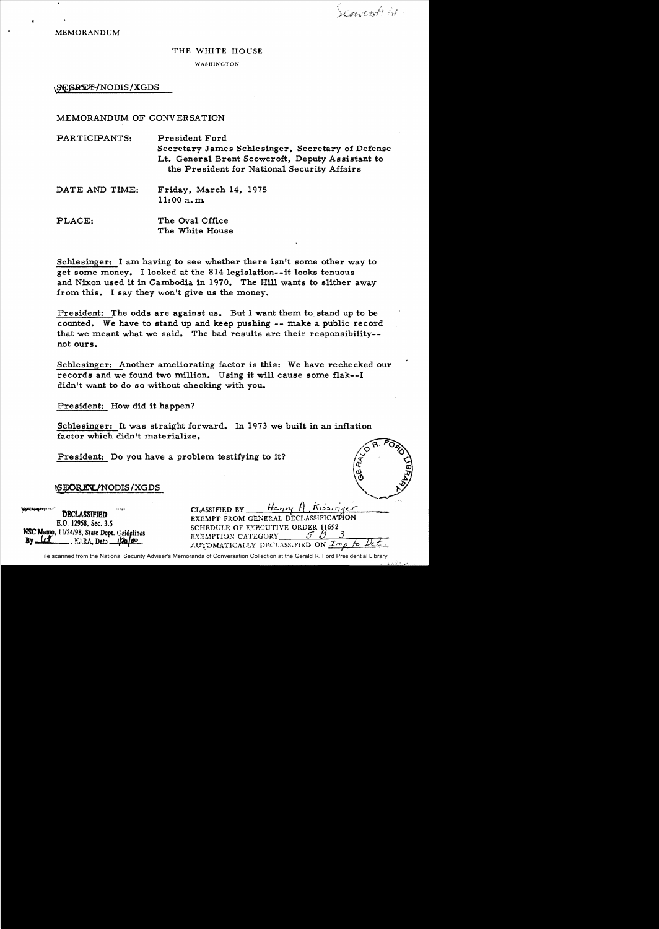Scarcool St.

MEMORANDUM

#### THE WHITE HOUSE

WASHINGTON

\SEGRETYNODIS/XGDS

#### MEMORANDUM OF CONVERSATION

PARTICIPANTS: President Ford Secretary James Schlesinger, Secretary of Defense Lt. General Brent Scowcroft, Deputy Assistant to the President for National Security Affairs

- DATE AND TIME: Friday, March 14, 1975  $11:00$  a.m.
- PLACE: The Oval Office The White House

Schlesinger: I am having to see whether there isn't some other way to get some money. I looked at the 814 legislation--it looks tenuous and Nixon used it in Cambodia in 1970. The Hill wants to slither away from this. I say they won't give us the money.

President: The odds are against us. But I want them to stand up to be counted. We have to stand up and keep pushing **--** make a public record that we meant what we said. The bad results are their responsibility not ours.

Schlesinger: Another ameliorating factor is this: We have rechecked our records and we found two million. Using it will cause some flak--I didn't want to do so without checking with you.

President: How did it happen?

Schlesinger: It was straight forward. In 1973 we built in an inflation factor which didn't materialize.

President: Do you have a problem testifying to it?

#### ~~ODIS/XGDS -

| <b>AND COMPANY REPAIRS AND STATE</b><br><b>DECLASSIFIED</b><br>E.O. 12958, Sec. 3.5<br>NSC Memo, 11/24/98, State Dept. Guidelines<br>By (1) NVRA, Date 120,00 | Henry A, Kissinger<br>CLASSIFIED BY<br>EXEMPT FROM GENERAL DECLASSIFICATION<br>SCHEDULE OF EXECUTIVE ORDER 11652<br>EXEMPTION CATEGORY<br>AUTOMATICALLY DECLASSIFIED ON Imp to Det. |
|---------------------------------------------------------------------------------------------------------------------------------------------------------------|-------------------------------------------------------------------------------------------------------------------------------------------------------------------------------------|
|---------------------------------------------------------------------------------------------------------------------------------------------------------------|-------------------------------------------------------------------------------------------------------------------------------------------------------------------------------------|

File scanned from the National Security Adviser's Memoranda of Conversation Collection at the Gerald R. Ford Presidential Library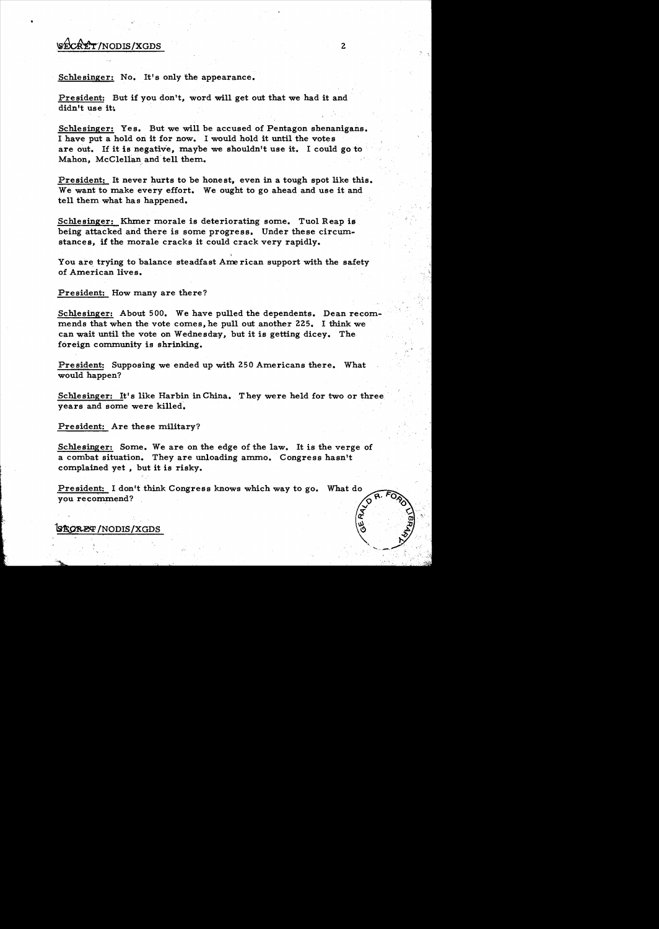# $\forall x \in C$   $\forall x \in C$   $\forall x \in C$   $\forall x \in C$   $\forall x \in C$   $\forall x \in C$   $\forall x \in C$   $\forall x \in C$   $\forall x \in C$   $\forall x \in C$   $\forall x \in C$   $\forall x \in C$   $\forall x \in C$   $\forall x \in C$   $\forall x \in C$   $\forall x \in C$   $\forall x \in C$   $\forall x \in C$   $\forall x \in C$   $\forall x \in C$   $\forall x \in C$   $\forall x \in C$   $\forall x \in C$   $\forall x \in C$   $\forall x \$

•

Schlesinger: No. It's only the appearance.

President: But if you don't, word will get out that we had it and didn't use it.

Schlesinger: Yes. But we will be accused of Pentagon shenanigans. I have put a hold on it for now. I would hold it until the votes are out. If it is negative, maybe we shouldn't use it. I could go to Mahon, McClellan and tell them.

President: It never hurts to be honest, even in a tough spot like this. We want to make every effort. We ought to go ahead and use it and tell them what has happened.

Schlesinger: Khmer morale is deteriorating some. Tuol Reap is being attacked and there is some progress. Under these circumstances, if the morale cracks it could crack very rapidly.

You are trying to balance steadfast Ame rican support with the safety of American lives.

President: How many are there?

Schlesinger: About 500. We have pulled the dependents. Dean recommends that when the vote comes, he pull out another 225. I think we can wait until the vote on Wedne sday, but it is getting dicey. The foreign community is shrinking.

President: Supposing we ended up with 250 Americans there. What would happen?

Schlesinger: It's like Harbin in China. They were held for two or three years and some were killed.

President: Are these military?

Schlesinger: Some. We are on the edge of the law. It is the verge of a combat situation. They are unloading ammo. Congress hasn't complained yet, but it is risky.

President: I don't think Congress knows which way to go. you recommend?

~/NODIS/XGDS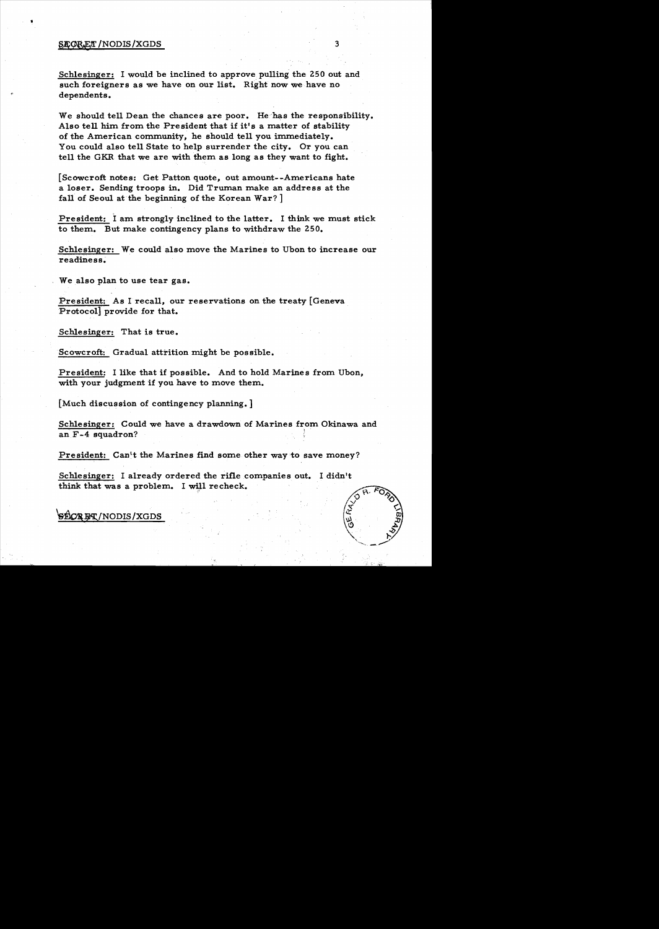#### SECORET / NODIS / XGDS 3

•

Schlesinger: I would be inclined to approve pulling the 250 out and such foreigners as we have on our list. Right now we have no dependents.

We should tell Dean the chances are poor. He has the responsibility. Also tell him from the President that if it's a matter of stability of the American community, he should tell you immediately. You could also tell State to help surrender the city. Or you can tell the GKR that we are with them as long as they want to fight.

[Scowcroft notes: Get Patton quote, out amount--Americans hate a loser. Sending troops in. Did Truman make an address at the fall of Seoul at the beginning of the Korean War? ]

President: I am strongly inclined to the latter. I think we must stick to them. But make contingency plans to withdraw the 250.

Schlesinger: We could also move the Marines to Ubon to increase our readiness.

We also plan to use tear gas.

President: As I recall, our reservations on the treaty [Geneva Protocol] provide for that.

Schlesinger: That is true.

Scowcroft: Gradual attrition might be possible.

President: I like that if possible. And to hold Marines from Ubon, with your judgment if you have to move them.

[Much discussion of contingency planning. ]

Schlesinger: Could we have a drawdown of Marines from Okinawa and an F-4 squadron?

President: Can't the Marines find some other way to save money?

Schlesinger: I already ordered the rifle companies out. I didn't think that was a problem. I will recheck.



~!\$fNODIS/XGDS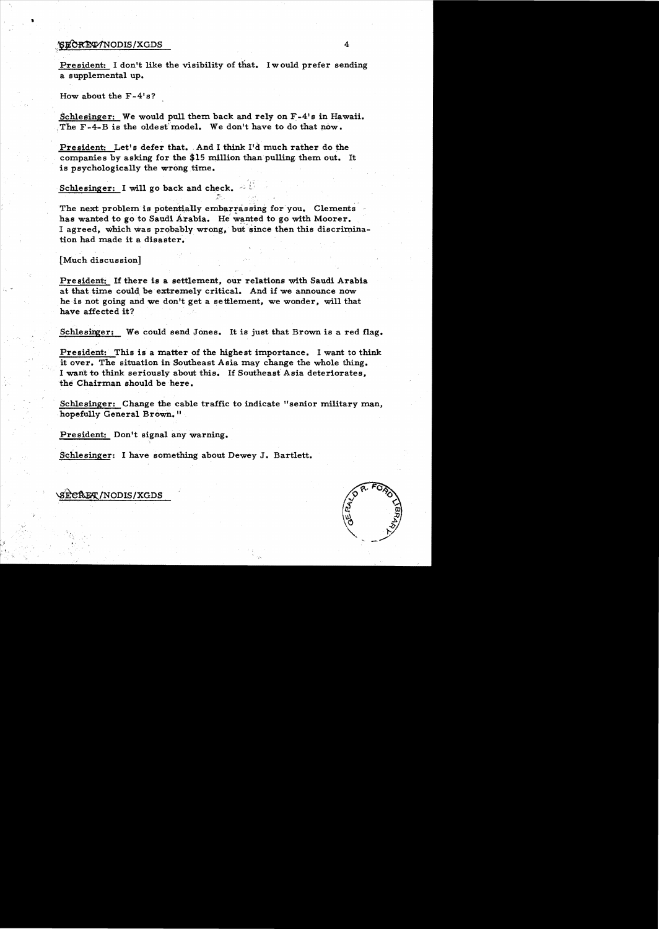### $\frac{1}{2}$  /SECREV/NODIS/XGDS 4

..

President: I don't like the visibility of that. I would prefer sending a supplemental up.

How about the  $F-4's?$ 

Schlesinger: We would pull them back and rely on F-4's in Hawaii. The F-4-B is the oldest model. We don't have to do that now.

President: Let's defer that. And I think I'd much rather do the companies by asking for the \$15 million than pulling, them out. It is psychologically the wrong time.

Schlesinger: I will go back and check.

The next problem is potentially embarrassing for you. Clements has wanted to go to Saudi Arabia. He wanted to go with Moorer. I agreed, which was probably wrong, but since then this discrimination had made it a disaster.

.[Much discussion]

President: If there is a settlement, our relations with Saudi Arabia at that time could be extremely critical. And if we announce now he is not going and we don't get a settlement, we wonder, will that have affected it?

Schlesinger: We could send Jones. It is just that Brown is a red flag.

President: This is a matter of the highest importance. I want to think it over. The situation in Southeast Asia may change the whole thing. I want to think seriously about this. If Southeast Asia deteriorates, the Chairman should be here.

Schlesinger: Change the cable traffic to indicate "senior military man, hopefully General Brown."

President: Don't signal any warning.

Schlesinger: I have something about Dewey J. Bartlett.

\s~/NODIS/XGDS

!,

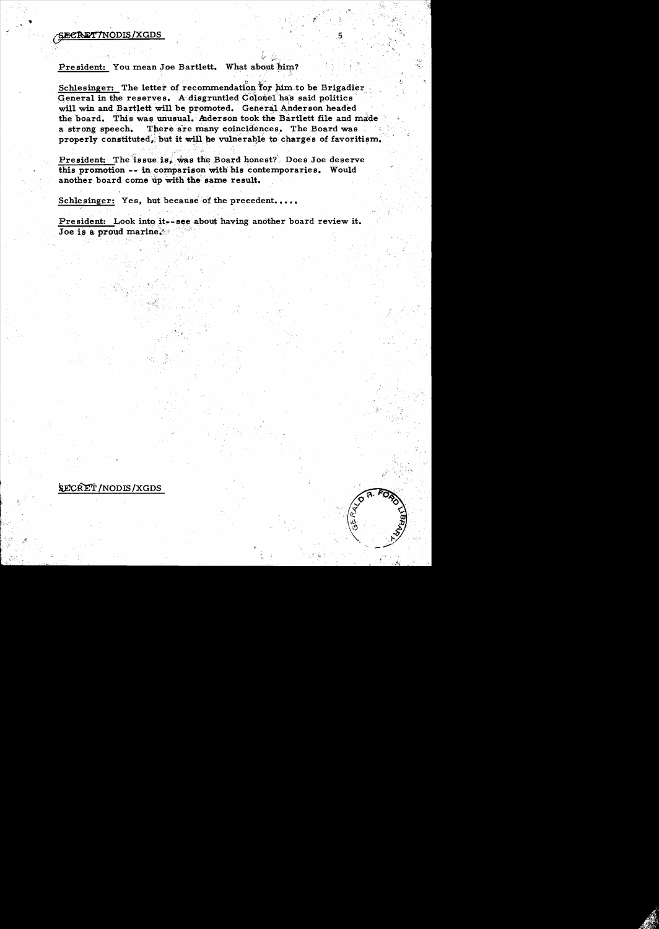## **SECRET7NODIS/XGDS**

#### President: You mean Joe Bartlett. What about him?

Schlesinger: The letter of recommendation for him to be Brigadier General in the reserves. A disgruntled Colonel has said politics will win and Bartlett will be promoted. General Anderson headed the board. This was unusual. Aderson took the Bartlett file and made a strong speech. There are many coincidences. The Board was properly constituted, but it will be vulnerable to charges of favoritism.

President: The issue is, was the Board honest? Does Joe deserve this promotion -- in comparison with his contemporaries. Would another board come up with the same result.

Schlesinger: Yes, but because of the precedent.....

President: Look into it. see about having another board review it. Joe is a proud marine.



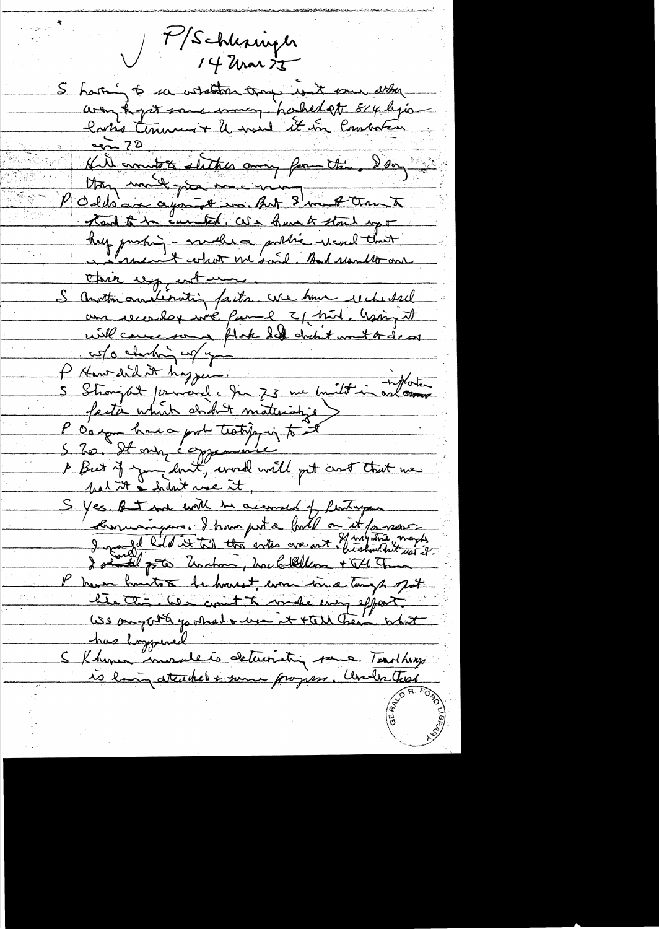7/Schlesinger  $14$  arar  $25$ S harring to un whatsom troops won't some atter way to get some money hashed at 814 lyrs latis tenumer le mond it vou lancateur. Kill commette statted among from the day Uning month gives me en Oddsage agont to But 8 met annunt Tand to be carried. We have to stand up + hy partin - maller a public rend that this up not more S Anotton and libratin factor use home reche sal une recendage vie france 2/ pril, Gasing it will concern flok Id dicht with dear P Hansdid it hoppem.<br>Of Hansdid it hoppem.<br>5 Strongat journauf. Jun 73 me built in antonne faction which didn't materialize P d'a sept home a probe tratique à tout A But if you look, word will get and that we S yes of I not with he account of Pertry Commandance. I transport a boil on it for second P have houtes de havest, even in a temp got bie tte les cont à make emp effect We anywhite you had a wear it that them what has hogypered S Khomer mondeto deterriting some. Tradhay is long attached + some progress. Under that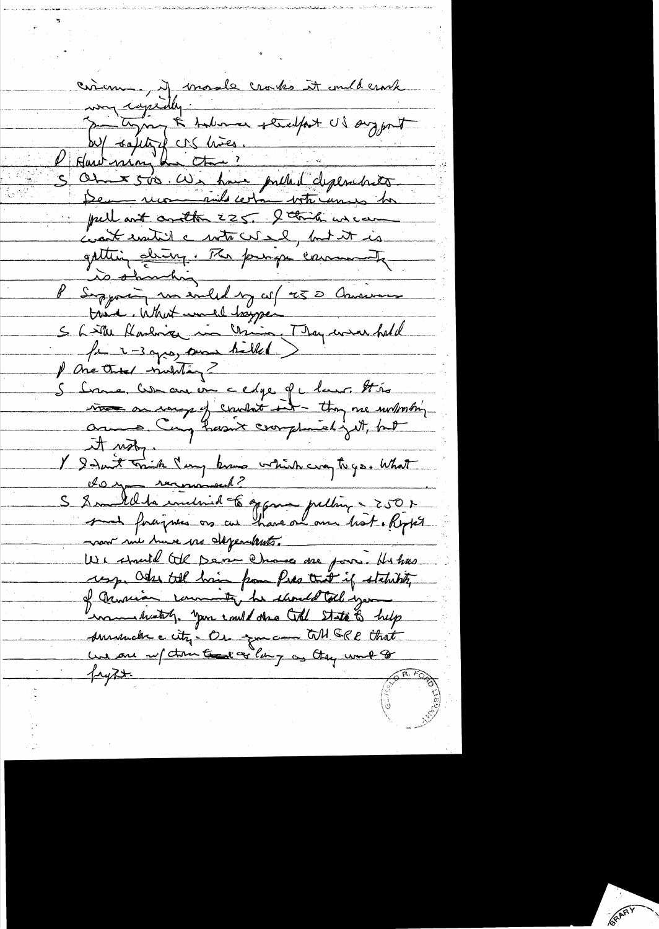circon ) il mode croites it millerack my capitaly.<br>Por typing & talmar steadfast US suggest W/ sality de lières. S Ohne 500. We have pulled cliplanchets pullant another 225. I think we can coast until a with cut al, but it is gattin de Ir 1760 principa enviamente S Little Harling in China, They were hold fait 3 yes, some helled ) P One Onto multig 5 Come, Comenant cedge of clause this it ush, Y désirt trink lang know which way to go. What S 8 mille la individa 6 appres publin - 250 r noon mi have me dependents. We should tell point chance me pour. Hu has resp. Odse till hair from Pres tout if statistik of armian commenty he should toll you in thetal, you could doe toll state to help surrende city. Or go can till GRR that une one ref tour content of lang as they would fryzx.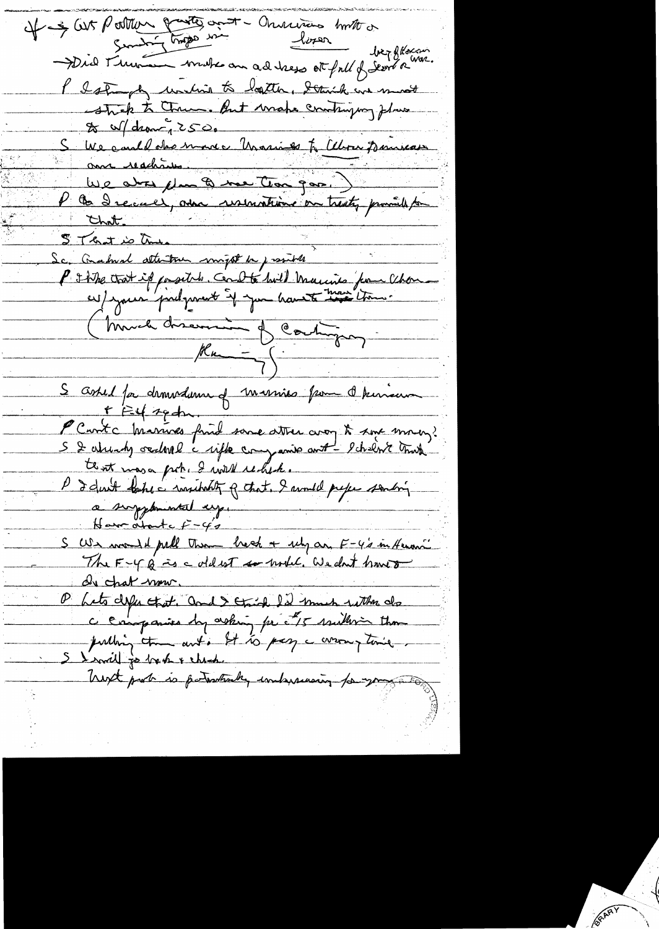It - & Cut Portleur gante and - Onvenience houte or Did Musica make au adress et ful d'Eurée War. l'Istundy unitis to logater, Demik en most & W/drawn 2500 S We could des moins Unarios to Albou Bourses aux reachans. We are changed the good ) STRID Me S T trat is une<br>Sc. Crahval attention might be justified in the Chan-<br>P I the trat if positele. Coult build married from Chan-(Much discussion of Contingua) S askel for demedienne of marries pour de terreur + Et sech PC notre Marines fruid some atten avoy to some mondi.<br>S 2 abrends occurre capte companie ant-scheen tant tent masa poke I will rechete. P d'Aut baher insident q that. I would prefer sontain Have othertal  $\ddot{r}$  -42 S We would puble them best a rely an F-4's in Henowi de chat now. D'hets defen et at. and Strick I'd much with de S I will go be the & check Trent port is patroticky independent to you all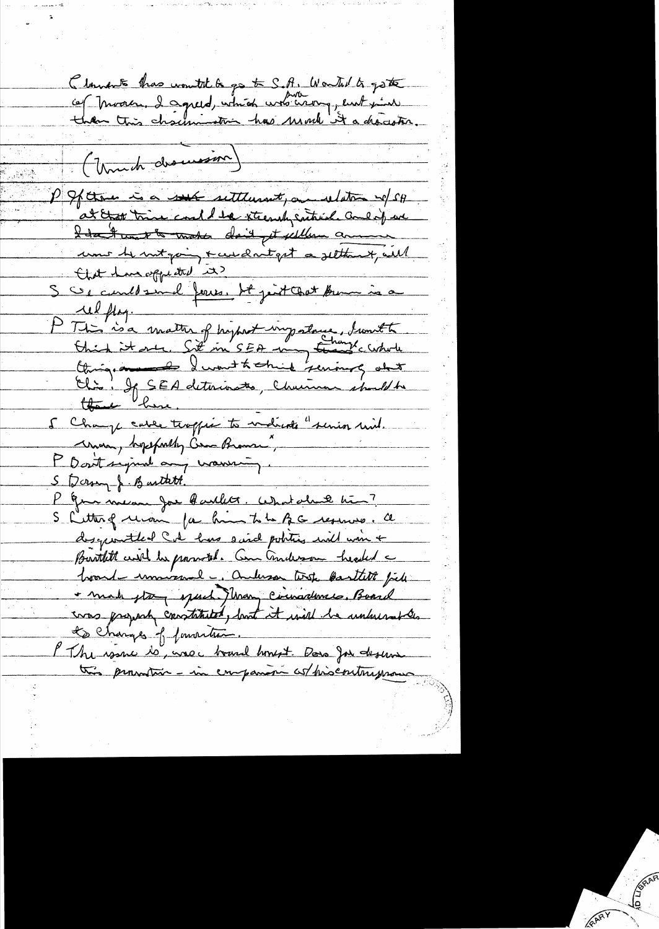Clamente thas wontit to go to S.A. Wortal to gote (Unich dromason) P Spara is a sub settlement, and determine w/ SH at that trine could be steerch satisfied and if we I don't unt to make don't get sellem annume une le megain + ceux antget a settent, ail that have appeared it? S Ce could sind ferres. Ht jest Coat Aum in a P This is a matter of hypother importance, timether .<br>Chick it are Sit in SEA -may translation unon, hopeforthy Com Brams." P Dont signal any warring. S Dorry J. Burtatt. K Granden Joe Baillet. What aland him? S Litter of revoir for him to be BC reserved. Ce descriptivent lead has said politics will win + Burthitt and he possible Communication headed a hourd-unniversal, anderson text bastill file - make gla, speech Many Circusadement. Board cross propach constituted, but it will be unknownthe Les Changes of formation. PThe warne to, was c board homest. Dono Jou deserve this promotion - in empanion as prisentryman